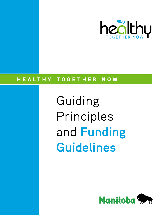

# HEALTHY TOGETHER NOW

Guiding Principles and **Funding Guidelines**

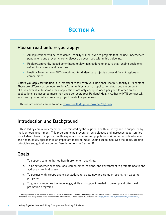# **SECTION A**

### **Please read before you apply:**

- All applications will be considered. Priority will be given to projects that include underserved populations and prevent chronic disease as described within this guideline.
- Region/Community-based committees review applications to ensure that funding decisions reflect local needs and priorities.
- Healthy Together Now (HTN) might not fund identical projects across different regions or communities.

**Before you apply for funding,** it is important to talk with your Regional Health Authority HTN contact. There are differences between regions/communities, such as application dates and the amount of funds available. In some areas, applications are only accepted once per year. In other areas, applications are accepted more than once per year. Your Regional Health Authority HTN contact will work with you to make sure your project meets the guidelines.

HTN contact names can be found at [www.healthytogethernow.net/regions/](https://healthytogethernow.net/regions/)

### **Introduction and Background**

HTN is led by community members, coordinated by the regional health authority and is supported by the Manitoba government. This program helps prevent chronic disease and increases opportunities for all Manitobans to improve health, especially underserved populations. A community development and health equity approach is an important factor to meet funding guidelines. See the goals, guiding principles and guidelines below. See definitions in Section B.

### **Goals**

- 1. To support community-led health promotion<sup>1</sup> activities.
- 2. To bring together organizations, communities, regions, and government to promote health and address chronic disease.
- 3. To partner with groups and organizations to create new programs or strengthen existing programs.
- 4. To give communities the knowledge, skills and support needed to develop and offer health promotion programs.

<sup>1 &</sup>quot;Health promotion is the process of enabling people to increase control over, and to improve, their health. It moves beyond a focus on individual behaviour towards a wide range of social and environmental interventions."- World Health Organization, 2019 [https://www.who.int/topics/health\\_promotion/en/](https://www.who.int/health-topics/health-promotion#tab=tab_1).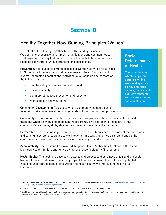# **SECTION B**

## **Healthy Together Now Guiding Principles (Values)**

The intent of the Healthy Together Now (HTN) Guiding Principles (Values) is to encourage government, organizations and communities to work together in a way that unites, honours the contributions of each, and respects each others' unique strengths and approaches.

**Prevention:** HTN supports chronic disease prevention activities for all ages. HTN funding addresses the social determinants of health<sup>1</sup> with a goal to involve underserved populations. Activities must focus on one or more of the following areas:

**Community Development:** "A process where community members come

- healthy eating and access to healthy food
- physical activity
- commercial tobacco prevention and reduction
- mental health and well-being

**Social Determinants of Health**

**The conditions in which people are born, grow, live, work and age- such as housing, food, income, natural and built environments, social safety net and social inclusion.2**

together to take collective action and generate solutions to common problems."<sup>3</sup>

**Community-owned:** A community-owned approach respects and honours local cultures and traditions when planning and implementing programs. This approach is respectful of the community's readiness, skills, abilities, resources, knowledge and experience.

**Partnerships:** The relationships between partners helps HTN succeed. Government, organizations and communities are encouraged to work together in a way that unites partners, honours the contributions of each, and respects their unique strengths and approaches.

**Accountability**: The communities involved, Regional Health Authorities, HTN committees and Manitoba Health, Seniors and Active Living, are responsible for HTN programs.

**Health Equity:** The goal is to develop structures and processes that remove unfair and avoidable barriers to health between population groups. All people can reach their full health potential including underserved populations. Achieving health equity will improve the health of all Manitobans.4

<sup>&</sup>lt;sup>2</sup> National Collaborating Centre for Determinants of Health. Glossary of essential health equity terms 2014. Available from: [http://nccdh.ca/resources/entry/](http://nccdh.ca/resources/entry/english-glossary-of-essential-health-equity-terms) [english-glossary-of-essential-health-equity-terms.](http://nccdh.ca/resources/entry/english-glossary-of-essential-health-equity-terms)

<sup>3</sup> United Nations Terminology Database (UNTERM). Retrieved June 27, 2019. Available from https://unterm.un.org

<sup>4</sup> Chief Provincial Public Health Officer. Healthy environments, healthy people [internet]. Winnipeg, MB: Government of Manitoba, Health, Healthy Living & Seniors; 2015. Available from: [https://www.gov.mb.ca/health/cppho/docs/hehp.pdf.](https://www.gov.mb.ca/health/cppho/docs/hehp.pdf)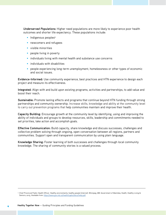**Underserved Populations:** Higher need populations are more likely to experience poor health outcomes and shorter life expectancy. These populations include:

- Indigenous peoples<sup>5</sup>
- newcomers and refugees
- visible minorities
- people living in poverty
- individuals living with mental health and substance use concerns
- individuals with disabilities
- people experiencing long-term unemployment, homelessness or other types of economic and social issues.

**Evidence-Informed:** Use community experience, best practices and HTN experience to design each project and measure its effectiveness.

**Integrated:** Align with and build upon existing programs, activities and partnerships, to add value and boost their reach.

**Sustainable:** Promote lasting effects and programs that continue beyond HTN funding through strong partnerships and community ownership. Increase skills, knowledge and ability at the community level to carry out prevention programs that help communities maintain and improve their health.

**Capacity Building:** Encourage growth at the community level by identifying, using and improving the ability of individuals and groups to develop resources, skills, leadership and commitments needed to set priorities, take action and accomplish goals.

**Effective Communication:** Build capacity, share knowledge and discuss successes, challenges and collective problem solving through ongoing, open conversation between all regions, partners and communities. Support open and transparent communication by using plain language.

**Knowledge Sharing:** Foster learning of both successes and challenges through local community knowledge. The sharing of community stories is a valued process.

<sup>5</sup> Chief Provincial Public Health Officer. Healthy environments, healthy people [internet]. Winnipeg, MB: Government of Manitoba, Health, Healthy Living & Seniors; 2015. Available from: [https://www.gov.mb.ca/health/cppho/docs/hehp.pdf.](https://www.gov.mb.ca/health/cppho/docs/hehp.pdf)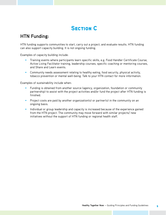# **SECTION C**

## **HTN Funding:**

HTN funding supports communities to start, carry out a project, and evaluate results. HTN funding can also support capacity building. It is not ongoing funding.

Examples of capacity building include:

- Training events where participants learn specific skills, e.g. Food Handler Certificate Course, Active Living Facilitator training, leadership courses, specific coaching or mentoring courses, and Share and Learn events.
- Community needs assessment relating to healthy eating, food security, physical activity, tobacco prevention or mental well-being. Talk to your HTN contact for more information.

Examples of sustainability include when:

- Funding is obtained from another source (agency, organization, foundation or community partnership) to assist with the project activities and/or fund the project after HTN funding is finished.
- Project costs are paid by another organization(s) or partner(s) in the community on an ongoing basis.
- Individual or group leadership and capacity is increased because of the experience gained from the HTN project. The community may move forward with similar projects/ new initiatives without the support of HTN funding or regional health staff.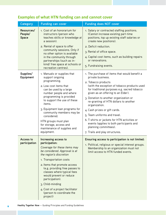| Category                       | <b>Funding can cover</b>                                                                                                                                                                                                                                                                                                                                                                                     | <b>Funding does NOT cover</b>                                                                                                                                                                                                                                                                                                                                                                                                                                                                                                                               |
|--------------------------------|--------------------------------------------------------------------------------------------------------------------------------------------------------------------------------------------------------------------------------------------------------------------------------------------------------------------------------------------------------------------------------------------------------------|-------------------------------------------------------------------------------------------------------------------------------------------------------------------------------------------------------------------------------------------------------------------------------------------------------------------------------------------------------------------------------------------------------------------------------------------------------------------------------------------------------------------------------------------------------------|
| Resources/<br>People/<br>Space | 1. Cost of an honorarium for<br>instructors (person who<br>teaches skills or knowledge at<br>a session).<br>2. Rental of space to offer<br>community sessions. Only if<br>no other option is available<br>in the community through<br>partnerships (such as in-<br>kind/ free space at schools or<br>recreation centres).                                                                                    | 1. Salary or contracted staffing positions.<br>(Cannot increase existing part-time<br>positions, top up existing staff salaries or<br>create new positions).<br>2. Deficit reduction.<br>3. Rental of office space.<br>4. Capital cost items, such as building repairs<br>or renovations.<br>5. Fundraising events.                                                                                                                                                                                                                                         |
| Supplies/<br>Equipment         | 1. Manuals or supplies that<br>support ongoing<br>programming.<br>2. Low cost items that<br>can be used by a large<br>number people and where<br>programming is provided<br>to support the use of these<br>items.<br>3. Equipment loan programs for<br>community members may be<br>considered.<br>HTN groups must plan<br>for storage, access and<br>maintenance of supplies and<br>equipment.               | 1. The purchase of items that would benefit a<br>private business.<br>2. Tobacco products<br>(with the exception of tobacco products used<br>for traditional purposes e.g. sacred tobacco<br>given as an offering to an Elder).<br>3. Donation to another organization or<br>re-granting of HTN dollars to another<br>organization.<br>4. Cash prizes or gift cards.<br>5. Team uniforms and travel.<br>6. T-shirts or jackets for HTN activities or<br>events (applies to both participants and<br>planning committees).<br>7. Trails and play structures. |
| Access to<br>participation     | Increasing access to<br>participation:<br>Coverage for these items may<br>be considered. Approval is at<br>the region's discretion<br>1. Transportation costs<br>2. Items that promote access<br>(e.g. providing free passes to<br>classes where typical fees<br>would prevent or reduce<br>participation).<br>3. Child-minding<br>4. Cost of a project facilitator<br>(person to coordinate the<br>project) | Ensuring access to participation is not limited:<br>1. Political, religious or special interest groups.<br>Membership to an organization must not<br>limit access to HTN funded events.                                                                                                                                                                                                                                                                                                                                                                     |

### **Examples of what HTN funding can and cannot cover**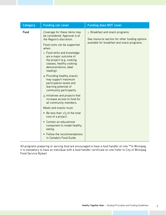| Category | <b>Funding can cover</b>                                                                                                                                                                                                                                                                                                                                                                                                                                                                                                                                                                                                                                                                                                                         | <b>Funding does NOT cover</b>                                                                                                    |
|----------|--------------------------------------------------------------------------------------------------------------------------------------------------------------------------------------------------------------------------------------------------------------------------------------------------------------------------------------------------------------------------------------------------------------------------------------------------------------------------------------------------------------------------------------------------------------------------------------------------------------------------------------------------------------------------------------------------------------------------------------------------|----------------------------------------------------------------------------------------------------------------------------------|
| Food     | Coverage for these items may<br>be considered. Approval is at<br>the Region's discretion.<br>Food costs can be supported<br>when:<br>1. Food skills and knowledge<br>are a major outcome of<br>the project (e.g. cooking<br>classes, healthy cooking<br>demonstrations, label<br>reading).<br>2. Providing healthy snacks<br>may support maximum<br>participation levels and<br>learning potential of<br>community participants.<br>3. Initiatives and projects that<br>increase access to food for<br>all community members.<br>Meals and snacks must:<br>• Be less than $1/3$ of the total<br>cost of a project.<br>• Contain an educational<br>component to model healthy<br>eating.<br>Follow the recommendations<br>in Canada's Food Guide. | 1. Breakfast and snack programs<br>See resource section for other funding options<br>available for breakfast and snack programs. |

All programs preparing or serving food are encouraged to have a food handler on site \*\*In Winnipeg, it is mandatory to have an individual with a food handler certificate on site (refer to City of Winnipeg Food Service Bylaw).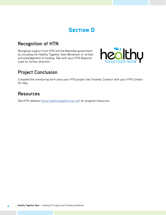# **SECTION D**

## **Recognition of HTN**

Recognize support from HTN and the Manitoba government by including the Healthy Together Now Wordmark or written acknowledgement of funding. Talk with your HTN Regional Lead for further direction.



## **Project Conclusion**

Complete the monitoring form once your HTN project has finished. Connect with your HTN Contact for help.

### **Resources**

See HTN website (<www.healthytogethernow.net>) for program resources.